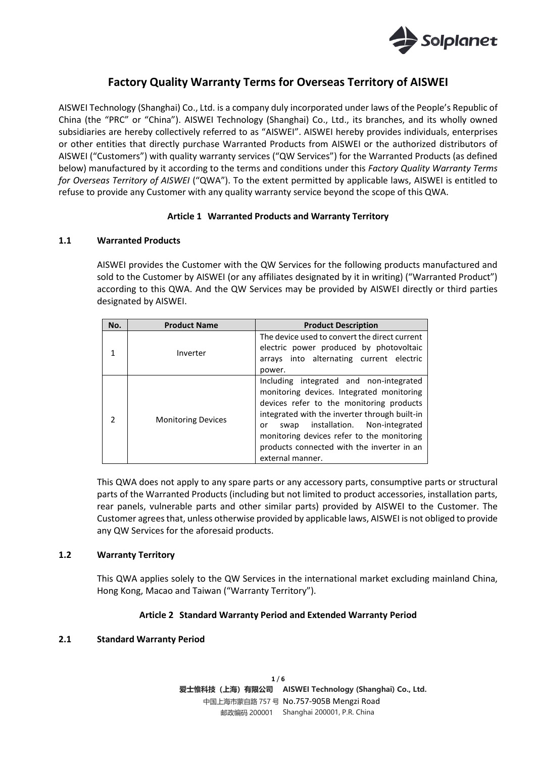

# **Factory Quality Warranty Terms for Overseas Territory of AISWEI**

AISWEI Technology (Shanghai) Co., Ltd. is a company duly incorporated under laws of the People's Republic of China (the "PRC" or "China"). AISWEI Technology (Shanghai) Co., Ltd., its branches, and its wholly owned subsidiaries are hereby collectively referred to as "AISWEI". AISWEI hereby provides individuals, enterprises or other entities that directly purchase Warranted Products from AISWEI or the authorized distributors of AISWEI ("Customers") with quality warranty services ("QW Services") for the Warranted Products (as defined below) manufactured by it according to the terms and conditions under this *Factory Quality Warranty Terms for Overseas Territory of AISWEI* ("QWA"). To the extent permitted by applicable laws, AISWEI is entitled to refuse to provide any Customer with any quality warranty service beyond the scope of this QWA.

## **Article 1 Warranted Products and Warranty Territory**

## **1.1 Warranted Products**

AISWEI provides the Customer with the QW Services for the following products manufactured and sold to the Customer by AISWEI (or any affiliates designated by it in writing) ("Warranted Product") according to this QWA. And the QW Services may be provided by AISWEI directly or third parties designated by AISWEI.

| No. | <b>Product Name</b>       | <b>Product Description</b>                                                                                                                                                                                                                                                                                                                      |  |
|-----|---------------------------|-------------------------------------------------------------------------------------------------------------------------------------------------------------------------------------------------------------------------------------------------------------------------------------------------------------------------------------------------|--|
|     | Inverter                  | The device used to convert the direct current<br>electric power produced by photovoltaic<br>arrays into alternating current electric<br>power.                                                                                                                                                                                                  |  |
|     | <b>Monitoring Devices</b> | Including integrated and non-integrated<br>monitoring devices. Integrated monitoring<br>devices refer to the monitoring products<br>integrated with the inverter through built-in<br>installation. Non-integrated<br>swap<br>or<br>monitoring devices refer to the monitoring<br>products connected with the inverter in an<br>external manner. |  |

This QWA does not apply to any spare parts or any accessory parts, consumptive parts or structural parts of the Warranted Products (including but not limited to product accessories, installation parts, rear panels, vulnerable parts and other similar parts) provided by AISWEI to the Customer. The Customer agrees that, unless otherwise provided by applicable laws, AISWEI is not obliged to provide any QW Services for the aforesaid products.

### **1.2 Warranty Territory**

This QWA applies solely to the QW Services in the international market excluding mainland China, Hong Kong, Macao and Taiwan ("Warranty Territory").

### **Article 2 Standard Warranty Period and Extended Warranty Period**

### **2.1 Standard Warranty Period**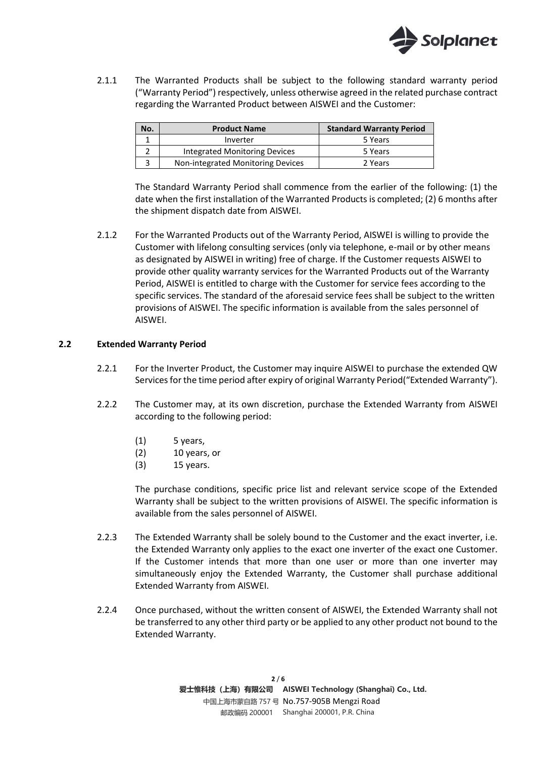

2.1.1 The Warranted Products shall be subject to the following standard warranty period ("Warranty Period") respectively, unless otherwise agreed in the related purchase contract regarding the Warranted Product between AISWEI and the Customer:

| No. | <b>Product Name</b>               | <b>Standard Warranty Period</b> |
|-----|-----------------------------------|---------------------------------|
|     | Inverter                          | 5 Years                         |
|     | Integrated Monitoring Devices     | 5 Years                         |
|     | Non-integrated Monitoring Devices | 2 Years                         |

The Standard Warranty Period shall commence from the earlier of the following: (1) the date when the first installation of the Warranted Products is completed; (2) 6 months after the shipment dispatch date from AISWEI.

2.1.2 For the Warranted Products out of the Warranty Period, AISWEI is willing to provide the Customer with lifelong consulting services (only via telephone, e-mail or by other means as designated by AISWEI in writing) free of charge. If the Customer requests AISWEI to provide other quality warranty services for the Warranted Products out of the Warranty Period, AISWEI is entitled to charge with the Customer for service fees according to the specific services. The standard of the aforesaid service fees shall be subject to the written provisions of AISWEI. The specific information is available from the sales personnel of AISWEI.

### **2.2 Extended Warranty Period**

- 2.2.1 For the Inverter Product, the Customer may inquire AISWEI to purchase the extended QW Services for the time period after expiry of original Warranty Period("Extended Warranty").
- 2.2.2 The Customer may, at its own discretion, purchase the Extended Warranty from AISWEI according to the following period:
	- $(1)$  5 years,
	- (2) 10 years, or
	- (3) 15 years.

The purchase conditions, specific price list and relevant service scope of the Extended Warranty shall be subject to the written provisions of AISWEI. The specific information is available from the sales personnel of AISWEI.

- 2.2.3 The Extended Warranty shall be solely bound to the Customer and the exact inverter, i.e. the Extended Warranty only applies to the exact one inverter of the exact one Customer. If the Customer intends that more than one user or more than one inverter may simultaneously enjoy the Extended Warranty, the Customer shall purchase additional Extended Warranty from AISWEI.
- 2.2.4 Once purchased, without the written consent of AISWEI, the Extended Warranty shall not be transferred to any other third party or be applied to any other product not bound to the Extended Warranty.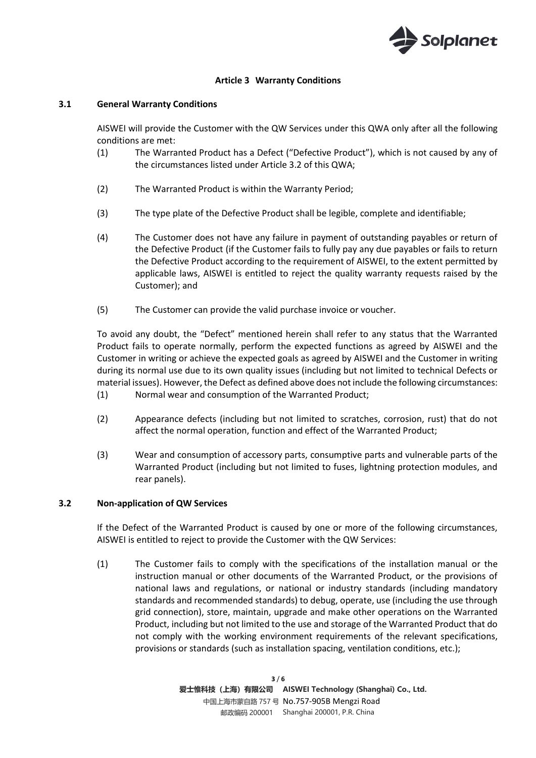

## **Article 3 Warranty Conditions**

### **3.1 General Warranty Conditions**

AISWEI will provide the Customer with the QW Services under this QWA only after all the following conditions are met:

- (1) The Warranted Product has a Defect ("Defective Product"), which is not caused by any of the circumstances listed under Article 3.2 of this QWA;
- (2) The Warranted Product is within the Warranty Period;
- (3) The type plate of the Defective Product shall be legible, complete and identifiable;
- (4) The Customer does not have any failure in payment of outstanding payables or return of the Defective Product (if the Customer fails to fully pay any due payables or fails to return the Defective Product according to the requirement of AISWEI, to the extent permitted by applicable laws, AISWEI is entitled to reject the quality warranty requests raised by the Customer); and
- (5) The Customer can provide the valid purchase invoice or voucher.

To avoid any doubt, the "Defect" mentioned herein shall refer to any status that the Warranted Product fails to operate normally, perform the expected functions as agreed by AISWEI and the Customer in writing or achieve the expected goals as agreed by AISWEI and the Customer in writing during its normal use due to its own quality issues (including but not limited to technical Defects or material issues). However, the Defect as defined above does not include the following circumstances: (1) Normal wear and consumption of the Warranted Product;

- (2) Appearance defects (including but not limited to scratches, corrosion, rust) that do not affect the normal operation, function and effect of the Warranted Product;
- (3) Wear and consumption of accessory parts, consumptive parts and vulnerable parts of the Warranted Product (including but not limited to fuses, lightning protection modules, and rear panels).

### **3.2 Non-application of QW Services**

If the Defect of the Warranted Product is caused by one or more of the following circumstances, AISWEI is entitled to reject to provide the Customer with the QW Services:

(1) The Customer fails to comply with the specifications of the installation manual or the instruction manual or other documents of the Warranted Product, or the provisions of national laws and regulations, or national or industry standards (including mandatory standards and recommended standards) to debug, operate, use (including the use through grid connection), store, maintain, upgrade and make other operations on the Warranted Product, including but not limited to the use and storage of the Warranted Product that do not comply with the working environment requirements of the relevant specifications, provisions or standards (such as installation spacing, ventilation conditions, etc.);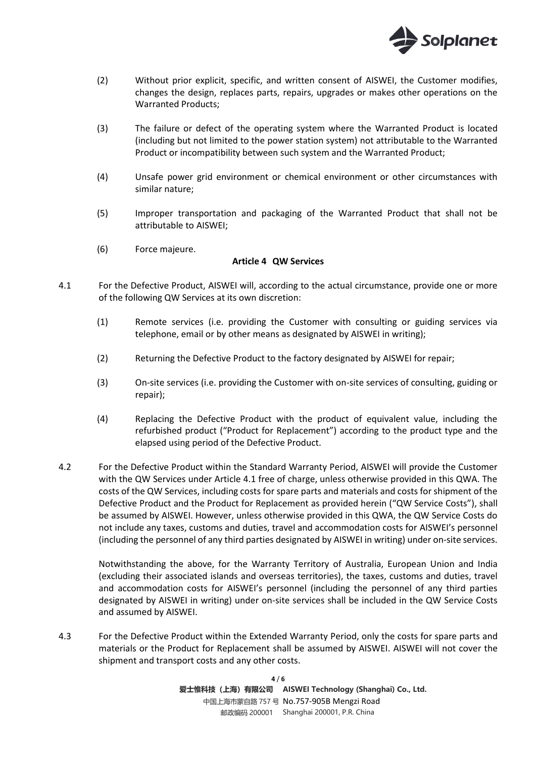

- (2) Without prior explicit, specific, and written consent of AISWEI, the Customer modifies, changes the design, replaces parts, repairs, upgrades or makes other operations on the Warranted Products;
- (3) The failure or defect of the operating system where the Warranted Product is located (including but not limited to the power station system) not attributable to the Warranted Product or incompatibility between such system and the Warranted Product;
- (4) Unsafe power grid environment or chemical environment or other circumstances with similar nature;
- (5) Improper transportation and packaging of the Warranted Product that shall not be attributable to AISWEI;
- (6) Force majeure.

## **Article 4 QW Services**

- 4.1 For the Defective Product, AISWEI will, according to the actual circumstance, provide one or more of the following QW Services at its own discretion:
	- (1) Remote services (i.e. providing the Customer with consulting or guiding services via telephone, email or by other means as designated by AISWEI in writing);
	- (2) Returning the Defective Product to the factory designated by AISWEI for repair;
	- (3) On-site services (i.e. providing the Customer with on-site services of consulting, guiding or repair);
	- (4) Replacing the Defective Product with the product of equivalent value, including the refurbished product ("Product for Replacement") according to the product type and the elapsed using period of the Defective Product.
- 4.2 For the Defective Product within the Standard Warranty Period, AISWEI will provide the Customer with the QW Services under Article 4.1 free of charge, unless otherwise provided in this QWA. The costs of the QW Services, including costs for spare parts and materials and costs for shipment of the Defective Product and the Product for Replacement as provided herein ("QW Service Costs"), shall be assumed by AISWEI. However, unless otherwise provided in this QWA, the QW Service Costs do not include any taxes, customs and duties, travel and accommodation costs for AISWEI's personnel (including the personnel of any third parties designated by AISWEI in writing) under on-site services.

Notwithstanding the above, for the Warranty Territory of Australia, European Union and India (excluding their associated islands and overseas territories), the taxes, customs and duties, travel and accommodation costs for AISWEI's personnel (including the personnel of any third parties designated by AISWEI in writing) under on-site services shall be included in the QW Service Costs and assumed by AISWEI.

4.3 For the Defective Product within the Extended Warranty Period, only the costs for spare parts and materials or the Product for Replacement shall be assumed by AISWEI. AISWEI will not cover the shipment and transport costs and any other costs.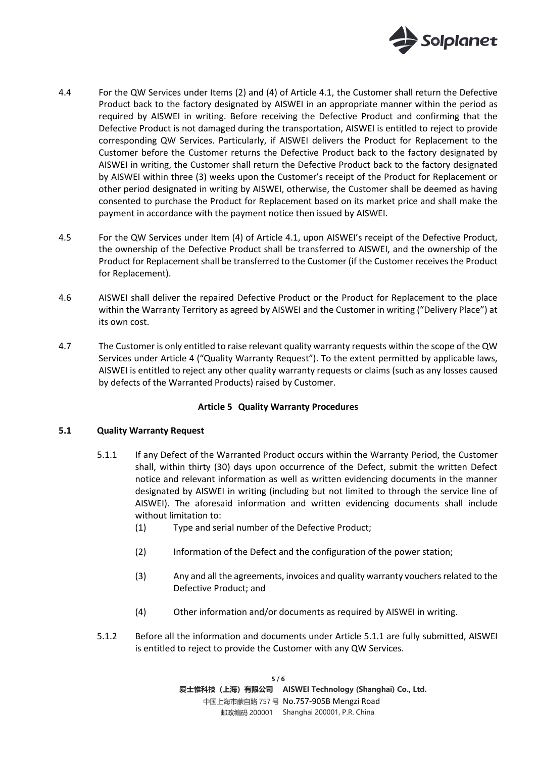

- 4.4 For the QW Services under Items (2) and (4) of Article 4.1, the Customer shall return the Defective Product back to the factory designated by AISWEI in an appropriate manner within the period as required by AISWEI in writing. Before receiving the Defective Product and confirming that the Defective Product is not damaged during the transportation, AISWEI is entitled to reject to provide corresponding QW Services. Particularly, if AISWEI delivers the Product for Replacement to the Customer before the Customer returns the Defective Product back to the factory designated by AISWEI in writing, the Customer shall return the Defective Product back to the factory designated by AISWEI within three (3) weeks upon the Customer's receipt of the Product for Replacement or other period designated in writing by AISWEI, otherwise, the Customer shall be deemed as having consented to purchase the Product for Replacement based on its market price and shall make the payment in accordance with the payment notice then issued by AISWEI.
- 4.5 For the QW Services under Item (4) of Article 4.1, upon AISWEI's receipt of the Defective Product, the ownership of the Defective Product shall be transferred to AISWEI, and the ownership of the Product for Replacement shall be transferred to the Customer (if the Customer receives the Product for Replacement).
- 4.6 AISWEI shall deliver the repaired Defective Product or the Product for Replacement to the place within the Warranty Territory as agreed by AISWEI and the Customer in writing ("Delivery Place") at its own cost.
- 4.7 The Customer is only entitled to raise relevant quality warranty requests within the scope of the QW Services under Article 4 ("Quality Warranty Request"). To the extent permitted by applicable laws, AISWEI is entitled to reject any other quality warranty requests or claims (such as any losses caused by defects of the Warranted Products) raised by Customer.

### **Article 5 Quality Warranty Procedures**

### **5.1 Quality Warranty Request**

- 5.1.1 If any Defect of the Warranted Product occurs within the Warranty Period, the Customer shall, within thirty (30) days upon occurrence of the Defect, submit the written Defect notice and relevant information as well as written evidencing documents in the manner designated by AISWEI in writing (including but not limited to through the service line of AISWEI). The aforesaid information and written evidencing documents shall include without limitation to:
	- (1) Type and serial number of the Defective Product;
	- (2) Information of the Defect and the configuration of the power station;
	- (3) Any and all the agreements, invoices and quality warranty vouchers related to the Defective Product; and
	- (4) Other information and/or documents as required by AISWEI in writing.
- 5.1.2 Before all the information and documents under Article 5.1.1 are fully submitted, AISWEI is entitled to reject to provide the Customer with any QW Services.